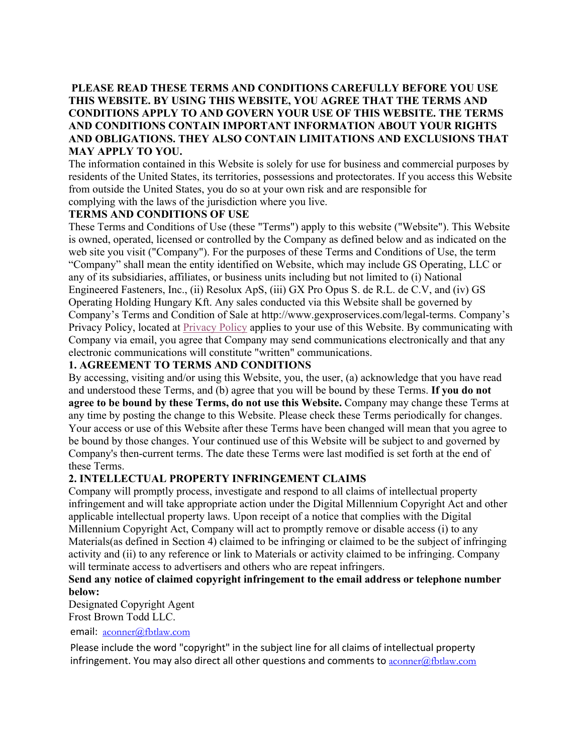## **PLEASE READ THESE TERMS AND CONDITIONS CAREFULLY BEFORE YOU USE THIS WEBSITE. BY USING THIS WEBSITE, YOU AGREE THAT THE TERMS AND CONDITIONS APPLY TO AND GOVERN YOUR USE OF THIS WEBSITE. THE TERMS AND CONDITIONS CONTAIN IMPORTANT INFORMATION ABOUT YOUR RIGHTS AND OBLIGATIONS. THEY ALSO CONTAIN LIMITATIONS AND EXCLUSIONS THAT MAY APPLY TO YOU.**

The information contained in this Website is solely for use for business and commercial purposes by residents of the United States, its territories, possessions and protectorates. If you access this Website from outside the United States, you do so at your own risk and are responsible for complying with the laws of the jurisdiction where you live.

## **TERMS AND CONDITIONS OF USE**

These Terms and Conditions of Use (these "Terms") apply to this website ("Website"). This Website is owned, operated, licensed or controlled by the Company as defined below and as indicated on the web site you visit ("Company"). For the purposes of these Terms and Conditions of Use, the term "Company" shall mean the entity identified on Website, which may include GS Operating, LLC or any of its subsidiaries, affiliates, or business units including but not limited to (i) National Engineered Fasteners, Inc., (ii) Resolux ApS, (iii) GX Pro Opus S. de R.L. de C.V, and (iv) GS Operating Holding Hungary Kft. Any sales conducted via this Website shall be governed by Company's Terms and Condition of Sale at [http://www.gexproservices.com/legal-terms.](http://www.gexproservices.com/legal-terms) Company's Privacy Policy, located at [Privacy Policy](https://gexproservices.com/wp-content/uploads/gexproservices-privacypolicy-rev2_0.pdf) applies to your use of this Website. By communicating with Company via email, you agree that Company may send communications electronically and that any electronic communications will constitute "written" communications.

# **1. AGREEMENT TO TERMS AND CONDITIONS**

By accessing, visiting and/or using this Website, you, the user, (a) acknowledge that you have read and understood these Terms, and (b) agree that you will be bound by these Terms. **If you do not agree to be bound by these Terms, do not use this Website.** Company may change these Terms at any time by posting the change to this Website. Please check these Terms periodically for changes. Your access or use of this Website after these Terms have been changed will mean that you agree to be bound by those changes. Your continued use of this Website will be subject to and governed by Company's then-current terms. The date these Terms were last modified is set forth at the end of these Terms.

# **2. INTELLECTUAL PROPERTY INFRINGEMENT CLAIMS**

Company will promptly process, investigate and respond to all claims of intellectual property infringement and will take appropriate action under the Digital Millennium Copyright Act and other applicable intellectual property laws. Upon receipt of a notice that complies with the Digital Millennium Copyright Act, Company will act to promptly remove or disable access (i) to any Materials(as defined in Section 4) claimed to be infringing or claimed to be the subject of infringing activity and (ii) to any reference or link to Materials or activity claimed to be infringing. Company will terminate access to advertisers and others who are repeat infringers.

## **Send any notice of claimed copyright infringement to the email address or telephone number below:**

Designated Copyright Agent Frost Brown Todd LLC.

email:  $\frac{1}{\text{aconner}(a)}$ fbtlaw.com

Please include the word "copyright" in the subject line for all claims of intellectual property infringement. You may also direct all other questions and comments to  $\alpha$ conner $@$ fbtlaw.com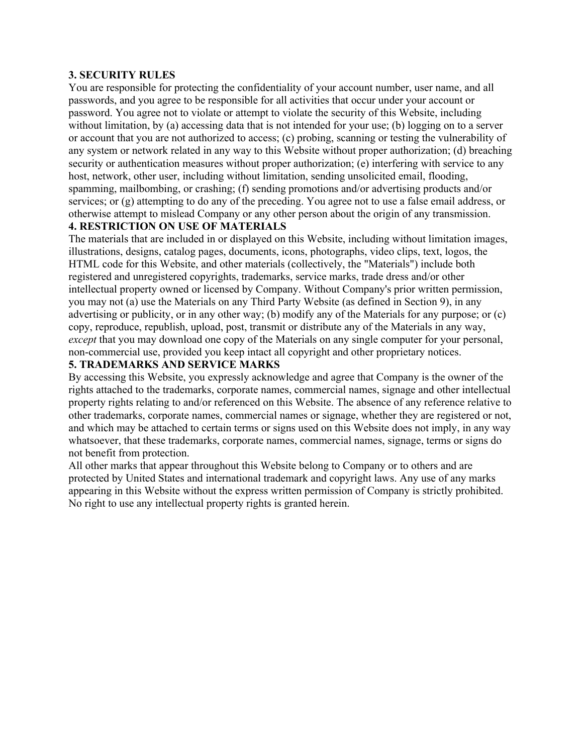#### **3. SECURITY RULES**

You are responsible for protecting the confidentiality of your account number, user name, and all passwords, and you agree to be responsible for all activities that occur under your account or password. You agree not to violate or attempt to violate the security of this Website, including without limitation, by (a) accessing data that is not intended for your use; (b) logging on to a server or account that you are not authorized to access; (c) probing, scanning or testing the vulnerability of any system or network related in any way to this Website without proper authorization; (d) breaching security or authentication measures without proper authorization; (e) interfering with service to any host, network, other user, including without limitation, sending unsolicited email, flooding, spamming, mailbombing, or crashing; (f) sending promotions and/or advertising products and/or services; or (g) attempting to do any of the preceding. You agree not to use a false email address, or otherwise attempt to mislead Company or any other person about the origin of any transmission.

## **4. RESTRICTION ON USE OF MATERIALS**

The materials that are included in or displayed on this Website, including without limitation images, illustrations, designs, catalog pages, documents, icons, photographs, video clips, text, logos, the HTML code for this Website, and other materials (collectively, the "Materials") include both registered and unregistered copyrights, trademarks, service marks, trade dress and/or other intellectual property owned or licensed by Company. Without Company's prior written permission, you may not (a) use the Materials on any Third Party Website (as defined in Section 9), in any advertising or publicity, or in any other way; (b) modify any of the Materials for any purpose; or (c) copy, reproduce, republish, upload, post, transmit or distribute any of the Materials in any way, *except* that you may download one copy of the Materials on any single computer for your personal, non-commercial use, provided you keep intact all copyright and other proprietary notices.

#### **5. TRADEMARKS AND SERVICE MARKS**

By accessing this Website, you expressly acknowledge and agree that Company is the owner of the rights attached to the trademarks, corporate names, commercial names, signage and other intellectual property rights relating to and/or referenced on this Website. The absence of any reference relative to other trademarks, corporate names, commercial names or signage, whether they are registered or not, and which may be attached to certain terms or signs used on this Website does not imply, in any way whatsoever, that these trademarks, corporate names, commercial names, signage, terms or signs do not benefit from protection.

All other marks that appear throughout this Website belong to Company or to others and are protected by United States and international trademark and copyright laws. Any use of any marks appearing in this Website without the express written permission of Company is strictly prohibited. No right to use any intellectual property rights is granted herein.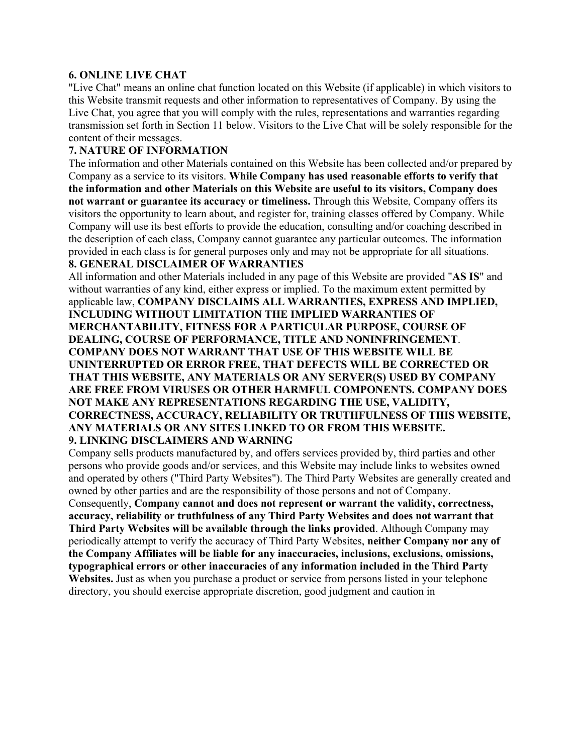#### **6. ONLINE LIVE CHAT**

"Live Chat" means an online chat function located on this Website (if applicable) in which visitors to this Website transmit requests and other information to representatives of Company. By using the Live Chat, you agree that you will comply with the rules, representations and warranties regarding transmission set forth in Section 11 below. Visitors to the Live Chat will be solely responsible for the content of their messages.

#### **7. NATURE OF INFORMATION**

The information and other Materials contained on this Website has been collected and/or prepared by Company as a service to its visitors. **While Company has used reasonable efforts to verify that the information and other Materials on this Website are useful to its visitors, Company does not warrant or guarantee its accuracy or timeliness.** Through this Website, Company offers its visitors the opportunity to learn about, and register for, training classes offered by Company. While Company will use its best efforts to provide the education, consulting and/or coaching described in the description of each class, Company cannot guarantee any particular outcomes. The information provided in each class is for general purposes only and may not be appropriate for all situations.

# **8. GENERAL DISCLAIMER OF WARRANTIES**

All information and other Materials included in any page of this Website are provided "**AS IS**" and without warranties of any kind, either express or implied. To the maximum extent permitted by applicable law, **COMPANY DISCLAIMS ALL WARRANTIES, EXPRESS AND IMPLIED, INCLUDING WITHOUT LIMITATION THE IMPLIED WARRANTIES OF MERCHANTABILITY, FITNESS FOR A PARTICULAR PURPOSE, COURSE OF DEALING, COURSE OF PERFORMANCE, TITLE AND NONINFRINGEMENT**. **COMPANY DOES NOT WARRANT THAT USE OF THIS WEBSITE WILL BE UNINTERRUPTED OR ERROR FREE, THAT DEFECTS WILL BE CORRECTED OR THAT THIS WEBSITE, ANY MATERIALS OR ANY SERVER(S) USED BY COMPANY ARE FREE FROM VIRUSES OR OTHER HARMFUL COMPONENTS. COMPANY DOES NOT MAKE ANY REPRESENTATIONS REGARDING THE USE, VALIDITY, CORRECTNESS, ACCURACY, RELIABILITY OR TRUTHFULNESS OF THIS WEBSITE, ANY MATERIALS OR ANY SITES LINKED TO OR FROM THIS WEBSITE. 9. LINKING DISCLAIMERS AND WARNING** 

Company sells products manufactured by, and offers services provided by, third parties and other persons who provide goods and/or services, and this Website may include links to websites owned and operated by others ("Third Party Websites"). The Third Party Websites are generally created and owned by other parties and are the responsibility of those persons and not of Company. Consequently, **Company cannot and does not represent or warrant the validity, correctness, accuracy, reliability or truthfulness of any Third Party Websites and does not warrant that Third Party Websites will be available through the links provided**. Although Company may periodically attempt to verify the accuracy of Third Party Websites, **neither Company nor any of the Company Affiliates will be liable for any inaccuracies, inclusions, exclusions, omissions, typographical errors or other inaccuracies of any information included in the Third Party Websites.** Just as when you purchase a product or service from persons listed in your telephone directory, you should exercise appropriate discretion, good judgment and caution in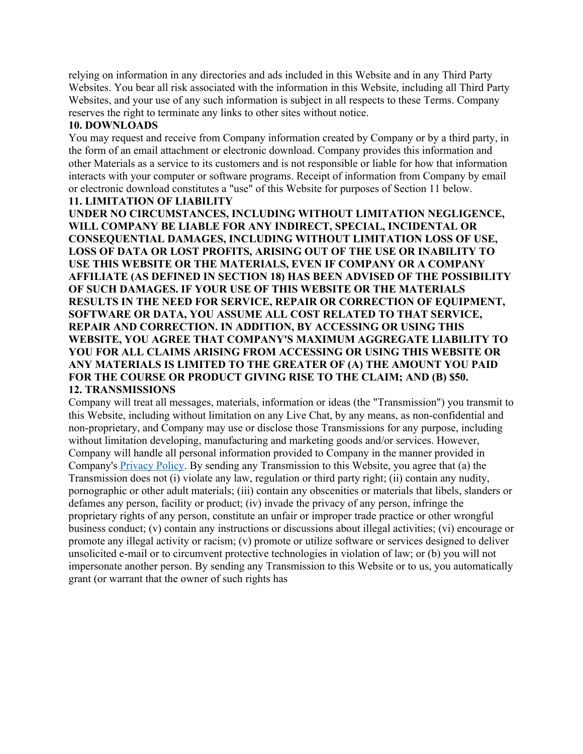relying on information in any directories and ads included in this Website and in any Third Party Websites. You bear all risk associated with the information in this Website, including all Third Party Websites, and your use of any such information is subject in all respects to these Terms. Company reserves the right to terminate any links to other sites without notice.

#### **10. DOWNLOADS**

You may request and receive from Company information created by Company or by a third party, in the form of an email attachment or electronic download. Company provides this information and other Materials as a service to its customers and is not responsible or liable for how that information interacts with your computer or software programs. Receipt of information from Company by email or electronic download constitutes a "use" of this Website for purposes of Section 11 below.

# **11. LIMITATION OF LIABILITY**

**UNDER NO CIRCUMSTANCES, INCLUDING WITHOUT LIMITATION NEGLIGENCE, WILL COMPANY BE LIABLE FOR ANY INDIRECT, SPECIAL, INCIDENTAL OR CONSEQUENTIAL DAMAGES, INCLUDING WITHOUT LIMITATION LOSS OF USE, LOSS OF DATA OR LOST PROFITS, ARISING OUT OF THE USE OR INABILITY TO USE THIS WEBSITE OR THE MATERIALS, EVEN IF COMPANY OR A COMPANY AFFILIATE (AS DEFINED IN SECTION 18) HAS BEEN ADVISED OF THE POSSIBILITY OF SUCH DAMAGES. IF YOUR USE OF THIS WEBSITE OR THE MATERIALS RESULTS IN THE NEED FOR SERVICE, REPAIR OR CORRECTION OF EQUIPMENT, SOFTWARE OR DATA, YOU ASSUME ALL COST RELATED TO THAT SERVICE, REPAIR AND CORRECTION. IN ADDITION, BY ACCESSING OR USING THIS WEBSITE, YOU AGREE THAT COMPANY'S MAXIMUM AGGREGATE LIABILITY TO YOU FOR ALL CLAIMS ARISING FROM ACCESSING OR USING THIS WEBSITE OR ANY MATERIALS IS LIMITED TO THE GREATER OF (A) THE AMOUNT YOU PAID FOR THE COURSE OR PRODUCT GIVING RISE TO THE CLAIM; AND (B) \$50. 12. TRANSMISSIONS** 

Company will treat all messages, materials, information or ideas (the "Transmission") you transmit to this Website, including without limitation on any Live Chat, by any means, as non-confidential and non-proprietary, and Company may use or disclose those Transmissions for any purpose, including without limitation developing, manufacturing and marketing goods and/or services. However, Company will handle all personal information provided to Company in the manner provided in Company's [Privacy Policy.](https://gexproservices.com/wp-content/uploads/gexproservices-privacypolicy-rev2_0.pdf) By sending any Transmission to this Website, you agree that (a) the Transmission does not (i) violate any law, regulation or third party right; (ii) contain any nudity, pornographic or other adult materials; (iii) contain any obscenities or materials that libels, slanders or defames any person, facility or product; (iv) invade the privacy of any person, infringe the proprietary rights of any person, constitute an unfair or improper trade practice or other wrongful business conduct; (v) contain any instructions or discussions about illegal activities; (vi) encourage or promote any illegal activity or racism; (v) promote or utilize software or services designed to deliver unsolicited e-mail or to circumvent protective technologies in violation of law; or (b) you will not impersonate another person. By sending any Transmission to this Website or to us, you automatically grant (or warrant that the owner of such rights has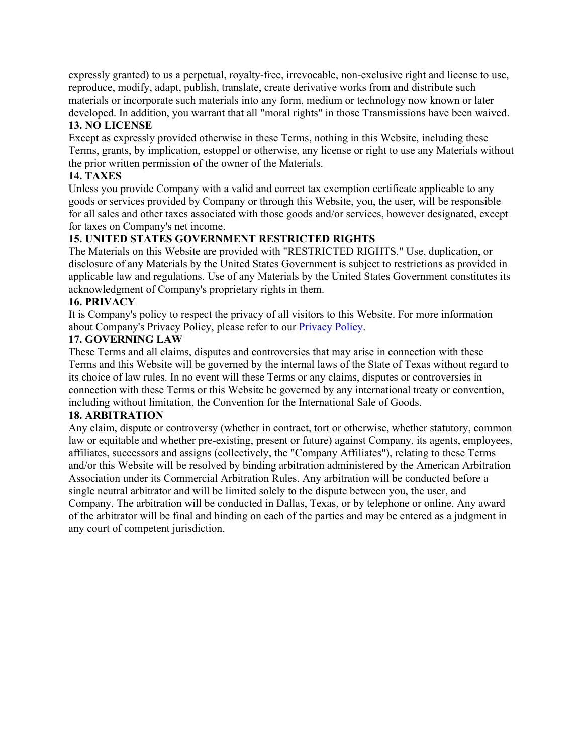expressly granted) to us a perpetual, royalty-free, irrevocable, non-exclusive right and license to use, reproduce, modify, adapt, publish, translate, create derivative works from and distribute such materials or incorporate such materials into any form, medium or technology now known or later developed. In addition, you warrant that all "moral rights" in those Transmissions have been waived.

# **13. NO LICENSE**

Except as expressly provided otherwise in these Terms, nothing in this Website, including these Terms, grants, by implication, estoppel or otherwise, any license or right to use any Materials without the prior written permission of the owner of the Materials.

# **14. TAXES**

Unless you provide Company with a valid and correct tax exemption certificate applicable to any goods or services provided by Company or through this Website, you, the user, will be responsible for all sales and other taxes associated with those goods and/or services, however designated, except for taxes on Company's net income.

# **15. UNITED STATES GOVERNMENT RESTRICTED RIGHTS**

The Materials on this Website are provided with "RESTRICTED RIGHTS." Use, duplication, or disclosure of any Materials by the United States Government is subject to restrictions as provided in applicable law and regulations. Use of any Materials by the United States Government constitutes its acknowledgment of Company's proprietary rights in them.

# **16. PRIVACY**

It is Company's policy to respect the privacy of all visitors to this Website. For more information about Company's Privacy Policy, please refer to our Privacy Policy.

## **17. GOVERNING LAW**

These Terms and all claims, disputes and controversies that may arise in connection with these Terms and this Website will be governed by the internal laws of the State of Texas without regard to its choice of law rules. In no event will these Terms or any claims, disputes or controversies in connection with these Terms or this Website be governed by any international treaty or convention, including without limitation, the Convention for the International Sale of Goods.

## **18. ARBITRATION**

Any claim, dispute or controversy (whether in contract, tort or otherwise, whether statutory, common law or equitable and whether pre-existing, present or future) against Company, its agents, employees, affiliates, successors and assigns (collectively, the "Company Affiliates"), relating to these Terms and/or this Website will be resolved by binding arbitration administered by the American Arbitration Association under its Commercial Arbitration Rules. Any arbitration will be conducted before a single neutral arbitrator and will be limited solely to the dispute between you, the user, and Company. The arbitration will be conducted in Dallas, Texas, or by telephone or online. Any award of the arbitrator will be final and binding on each of the parties and may be entered as a judgment in any court of competent jurisdiction.